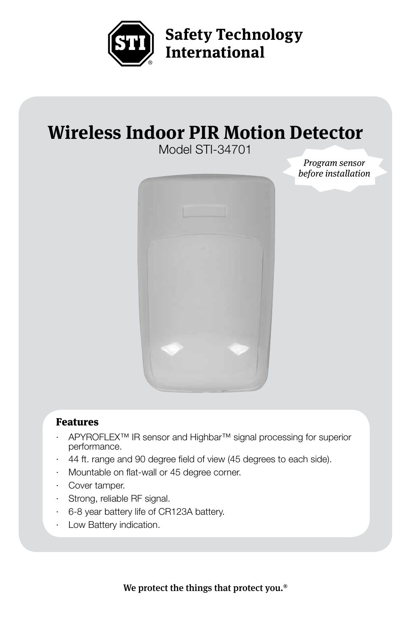

**Safety Technology** International

# **Wireless Indoor PIR Motion Detector**

Model STI-34701



*Program sensor before installation*

#### Features

- · APYROFLEX™ IR sensor and Highbar™ signal processing for superior performance.
- · 44 ft. range and 90 degree field of view (45 degrees to each side).
- Mountable on flat-wall or 45 degree corner.
- · Cover tamper.
- · Strong, reliable RF signal.
- · 6-8 year battery life of CR123A battery.
- Low Battery indication.

We protect the things that protect you.®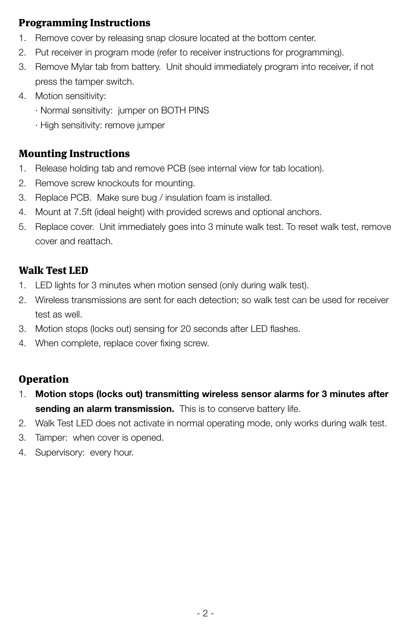# Programming Instructions

- 1. Remove cover by releasing snap closure located at the bottom center.
- 2. Put receiver in program mode (refer to receiver instructions for programming).
- 3. Remove Mylar tab from battery. Unit should immediately program into receiver, if not press the tamper switch.
- 4. Motion sensitivity:
	- · Normal sensitivity: jumper on BOTH PINS
	- · High sensitivity: remove jumper

## Mounting Instructions

- 1. Release holding tab and remove PCB (see internal view for tab location).
- 2. Remove screw knockouts for mounting.
- 3. Replace PCB. Make sure bug / insulation foam is installed.
- 4. Mount at 7.5ft (ideal height) with provided screws and optional anchors.
- 5. Replace cover. Unit immediately goes into 3 minute walk test. To reset walk test, remove cover and reattach.

## Walk Test LED

- 1. LED lights for 3 minutes when motion sensed (only during walk test).
- 2. Wireless transmissions are sent for each detection; so walk test can be used for receiver test as well.
- 3. Motion stops (locks out) sensing for 20 seconds after LED flashes.
- 4. When complete, replace cover fixing screw.

# **Operation**

- 1. **Motion stops (locks out) transmitting wireless sensor alarms for 3 minutes after sending an alarm transmission.** This is to conserve battery life.
- 2. Walk Test LED does not activate in normal operating mode, only works during walk test.
- 3. Tamper: when cover is opened.
- 4. Supervisory: every hour.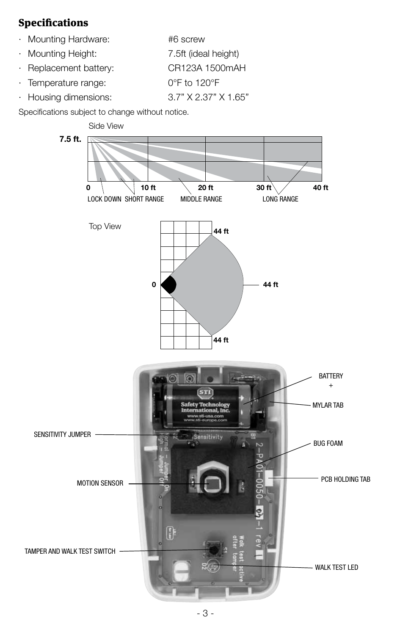# Specifications

- · Mounting Hardware: #6 screw
- · Mounting Height: 7.5ft (ideal height)
- · Replacement battery: CR123A 1500mAH
- · Temperature range: 0°F to 120°F
- · Housing dimensions: 3.7" X 2.37" X 1.65"

Specifications subject to change without notice.